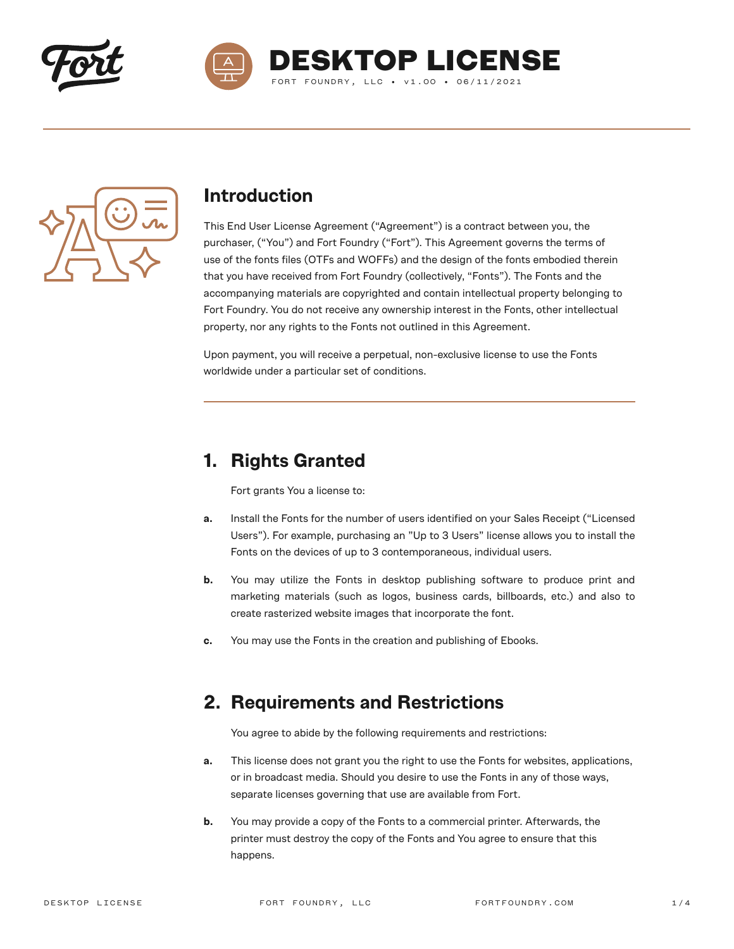





### **Introduction**

This End User License Agreement ("Agreement") is a contract between you, the purchaser, ("You") and Fort Foundry ("Fort"). This Agreement governs the terms of use of the fonts files (OTFs and WOFFs) and the design of the fonts embodied therein that you have received from Fort Foundry (collectively, "Fonts"). The Fonts and the accompanying materials are copyrighted and contain intellectual property belonging to Fort Foundry. You do not receive any ownership interest in the Fonts, other intellectual property, nor any rights to the Fonts not outlined in this Agreement.

Upon payment, you will receive a perpetual, non-exclusive license to use the Fonts worldwide under a particular set of conditions.

## **1. Rights Granted**

Fort grants You a license to:

- **a.** Install the Fonts for the number of users identified on your Sales Receipt ("Licensed Users"). For example, purchasing an "Up to 3 Users" license allows you to install the Fonts on the devices of up to 3 contemporaneous, individual users.
- **b.** You may utilize the Fonts in desktop publishing software to produce print and marketing materials (such as logos, business cards, billboards, etc.) and also to create rasterized website images that incorporate the font.
- **c.** You may use the Fonts in the creation and publishing of Ebooks.

### **2. Requirements and Restrictions**

You agree to abide by the following requirements and restrictions:

- **a.** This license does not grant you the right to use the Fonts for websites, applications, or in broadcast media. Should you desire to use the Fonts in any of those ways, separate licenses governing that use are available from Fort.
- **b.** You may provide a copy of the Fonts to a commercial printer. Afterwards, the printer must destroy the copy of the Fonts and You agree to ensure that this happens.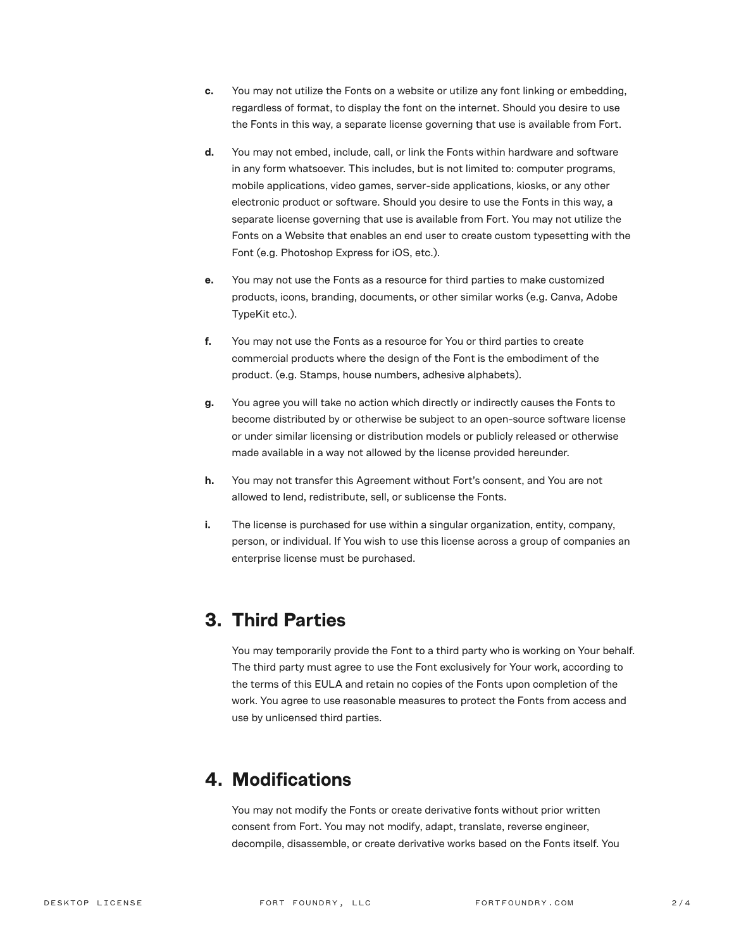- **c.** You may not utilize the Fonts on a website or utilize any font linking or embedding, regardless of format, to display the font on the internet. Should you desire to use the Fonts in this way, a separate license governing that use is available from Fort.
- **d.** You may not embed, include, call, or link the Fonts within hardware and software in any form whatsoever. This includes, but is not limited to: computer programs, mobile applications, video games, server-side applications, kiosks, or any other electronic product or software. Should you desire to use the Fonts in this way, a separate license governing that use is available from Fort. You may not utilize the Fonts on a Website that enables an end user to create custom typesetting with the Font (e.g. Photoshop Express for iOS, etc.).
- **e.** You may not use the Fonts as a resource for third parties to make customized products, icons, branding, documents, or other similar works (e.g. Canva, Adobe TypeKit etc.).
- **f.** You may not use the Fonts as a resource for You or third parties to create commercial products where the design of the Font is the embodiment of the product. (e.g. Stamps, house numbers, adhesive alphabets).
- **g.** You agree you will take no action which directly or indirectly causes the Fonts to become distributed by or otherwise be subject to an open-source software license or under similar licensing or distribution models or publicly released or otherwise made available in a way not allowed by the license provided hereunder.
- **h.** You may not transfer this Agreement without Fort's consent, and You are not allowed to lend, redistribute, sell, or sublicense the Fonts.
- **i.** The license is purchased for use within a singular organization, entity, company, person, or individual. If You wish to use this license across a group of companies an enterprise license must be purchased.

### **3. Third Parties**

You may temporarily provide the Font to a third party who is working on Your behalf. The third party must agree to use the Font exclusively for Your work, according to the terms of this EULA and retain no copies of the Fonts upon completion of the work. You agree to use reasonable measures to protect the Fonts from access and use by unlicensed third parties.

### **4. Modifications**

You may not modify the Fonts or create derivative fonts without prior written consent from Fort. You may not modify, adapt, translate, reverse engineer, decompile, disassemble, or create derivative works based on the Fonts itself. You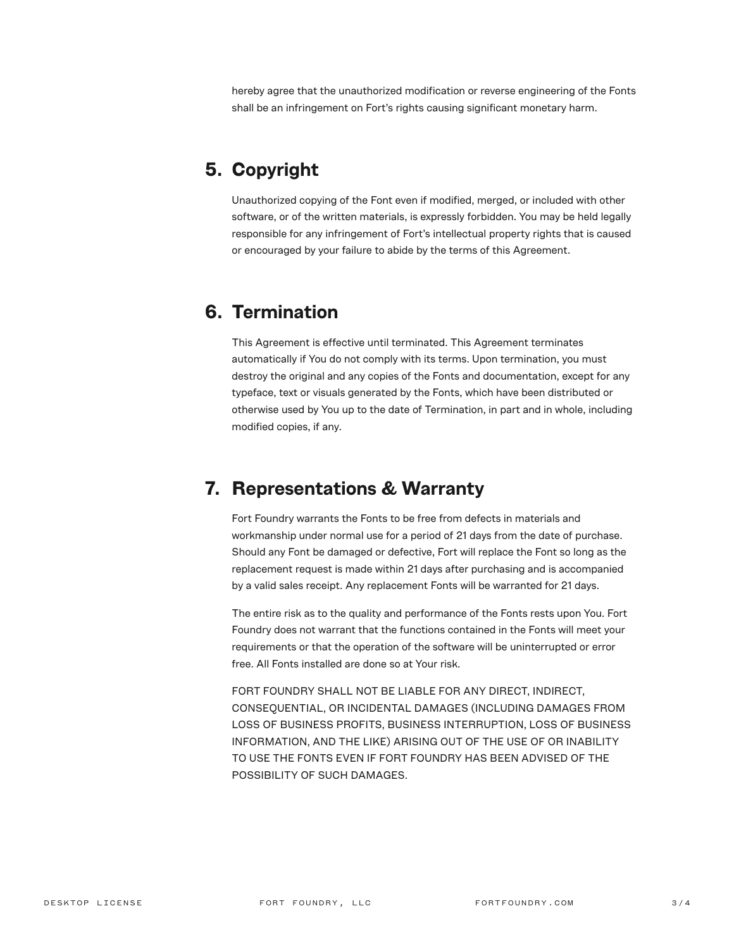hereby agree that the unauthorized modification or reverse engineering of the Fonts shall be an infringement on Fort's rights causing significant monetary harm.

## **5. Copyright**

Unauthorized copying of the Font even if modified, merged, or included with other software, or of the written materials, is expressly forbidden. You may be held legally responsible for any infringement of Fort's intellectual property rights that is caused or encouraged by your failure to abide by the terms of this Agreement.

#### **6. Termination**

This Agreement is effective until terminated. This Agreement terminates automatically if You do not comply with its terms. Upon termination, you must destroy the original and any copies of the Fonts and documentation, except for any typeface, text or visuals generated by the Fonts, which have been distributed or otherwise used by You up to the date of Termination, in part and in whole, including modified copies, if any.

### **7. Representations & Warranty**

Fort Foundry warrants the Fonts to be free from defects in materials and workmanship under normal use for a period of 21 days from the date of purchase. Should any Font be damaged or defective, Fort will replace the Font so long as the replacement request is made within 21 days after purchasing and is accompanied by a valid sales receipt. Any replacement Fonts will be warranted for 21 days.

The entire risk as to the quality and performance of the Fonts rests upon You. Fort Foundry does not warrant that the functions contained in the Fonts will meet your requirements or that the operation of the software will be uninterrupted or error free. All Fonts installed are done so at Your risk.

FORT FOUNDRY SHALL NOT BE LIABLE FOR ANY DIRECT, INDIRECT, CONSEQUENTIAL, OR INCIDENTAL DAMAGES (INCLUDING DAMAGES FROM LOSS OF BUSINESS PROFITS, BUSINESS INTERRUPTION, LOSS OF BUSINESS INFORMATION, AND THE LIKE) ARISING OUT OF THE USE OF OR INABILITY TO USE THE FONTS EVEN IF FORT FOUNDRY HAS BEEN ADVISED OF THE POSSIBILITY OF SUCH DAMAGES.